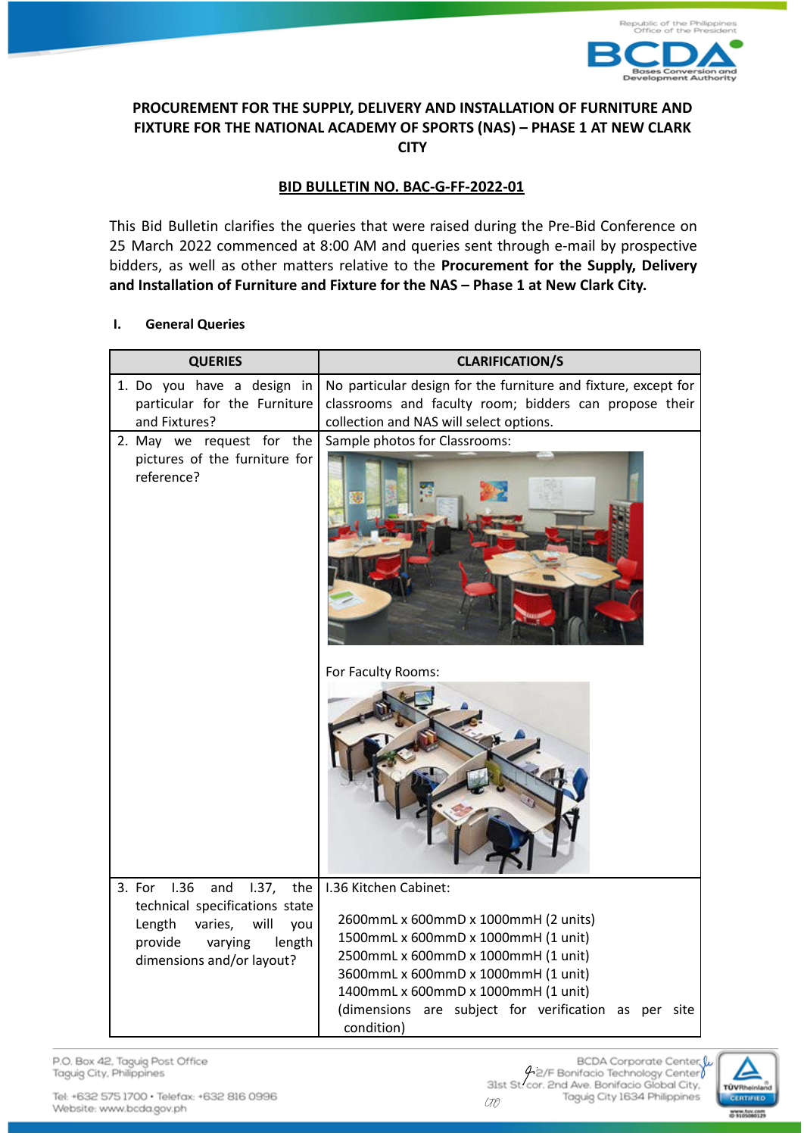

## **PROCUREMENT FOR THE SUPPLY, DELIVERY AND INSTALLATION OF FURNITURE AND FIXTURE FOR THE NATIONAL ACADEMY OF SPORTS (NAS) – PHASE 1 AT NEW CLARK CITY**

# **BID BULLETIN NO. BAC-G-FF-2022-01**

This Bid Bulletin clarifies the queries that were raised during the Pre-Bid Conference on 25 March 2022 commenced at 8:00 AM and queries sent through e-mail by prospective bidders, as well as other matters relative to the **Procurement for the Supply, Delivery and Installation of Furniture and Fixture for the NAS – Phase 1 at New Clark City.**

### **I. General Queries**

| <b>QUERIES</b>                                                                                                                                                           | <b>CLARIFICATION/S</b>                                                                                                                                                                                                                                                                          |
|--------------------------------------------------------------------------------------------------------------------------------------------------------------------------|-------------------------------------------------------------------------------------------------------------------------------------------------------------------------------------------------------------------------------------------------------------------------------------------------|
| 1. Do you have a design in<br>particular for the Furniture<br>and Fixtures?                                                                                              | No particular design for the furniture and fixture, except for<br>classrooms and faculty room; bidders can propose their<br>collection and NAS will select options.                                                                                                                             |
| 2. May we request for the<br>pictures of the furniture for<br>reference?                                                                                                 | Sample photos for Classrooms:                                                                                                                                                                                                                                                                   |
|                                                                                                                                                                          | For Faculty Rooms:                                                                                                                                                                                                                                                                              |
| 3. For<br>1.36<br>and<br>1.37,<br>the<br>technical specifications state<br>Length<br>varies,<br>will<br>you<br>length<br>provide<br>varying<br>dimensions and/or layout? | I.36 Kitchen Cabinet:<br>2600mmL x 600mmD x 1000mmH (2 units)<br>1500mmL x 600mmD x 1000mmH (1 unit)<br>2500mmL x 600mmD x 1000mmH (1 unit)<br>3600mmL x 600mmD x 1000mmH (1 unit)<br>1400mmL x 600mmD x 1000mmH (1 unit)<br>(dimensions are subject for verification as per site<br>condition) |

P.O. Box 42, Taguig Post Office Taguig City, Philippines

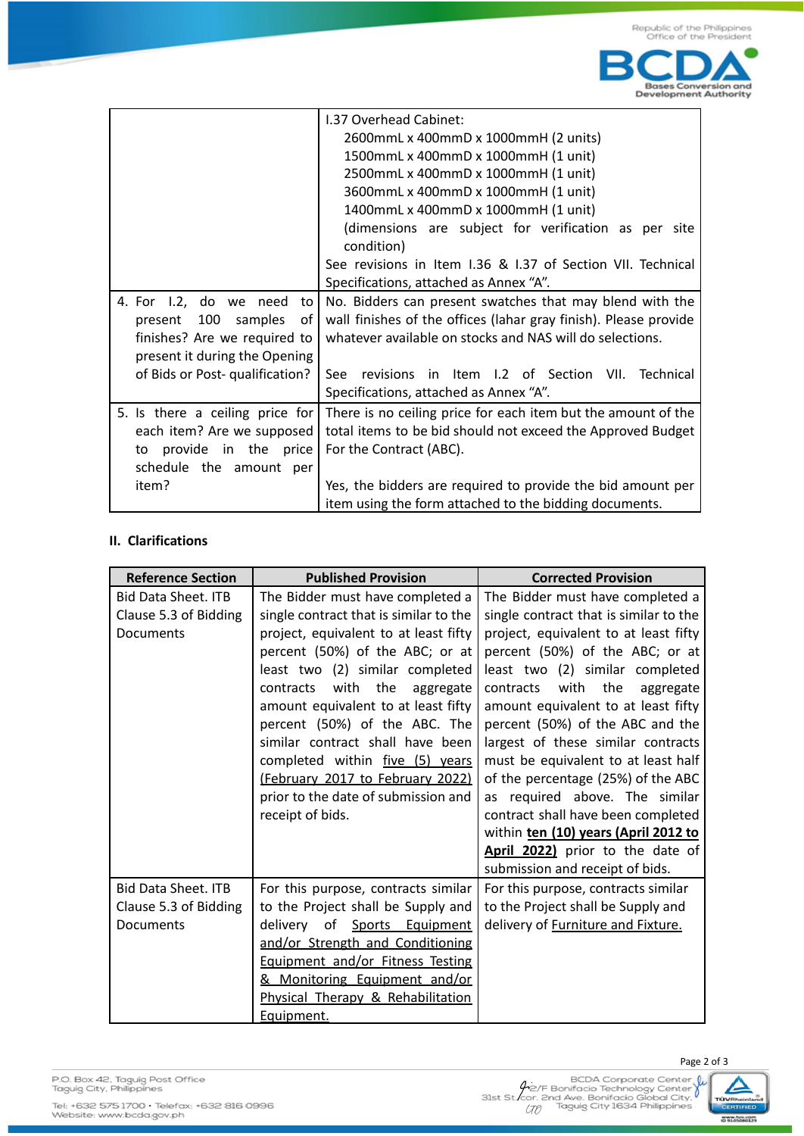

|                                 | 1.37 Overhead Cabinet:                                           |  |
|---------------------------------|------------------------------------------------------------------|--|
|                                 | 2600mmL x 400mmD x 1000mmH (2 units)                             |  |
|                                 | 1500mmL x 400mmD x 1000mmH (1 unit)                              |  |
|                                 | 2500mmL x 400mmD x 1000mmH (1 unit)                              |  |
|                                 | 3600mmL x 400mmD x 1000mmH (1 unit)                              |  |
|                                 | 1400mmL x 400mmD x 1000mmH (1 unit)                              |  |
|                                 | (dimensions are subject for verification as per site             |  |
|                                 | condition)                                                       |  |
|                                 | See revisions in Item I.36 & I.37 of Section VII. Technical      |  |
|                                 | Specifications, attached as Annex "A".                           |  |
| 4. For 1.2, do we need<br>to I  | No. Bidders can present swatches that may blend with the         |  |
| present 100 samples of          | wall finishes of the offices (lahar gray finish). Please provide |  |
| finishes? Are we required to    | whatever available on stocks and NAS will do selections.         |  |
| present it during the Opening   |                                                                  |  |
| of Bids or Post- qualification? | revisions in Item I.2 of Section VII. Technical<br>See:          |  |
|                                 | Specifications, attached as Annex "A".                           |  |
| 5. Is there a ceiling price for | There is no ceiling price for each item but the amount of the    |  |
| each item? Are we supposed      | total items to be bid should not exceed the Approved Budget      |  |
| provide in the price<br>to      | For the Contract (ABC).                                          |  |
| schedule the amount per         |                                                                  |  |
| item?                           | Yes, the bidders are required to provide the bid amount per      |  |
|                                 | item using the form attached to the bidding documents.           |  |

### **II. Clarifications**

| <b>Reference Section</b>   | <b>Published Provision</b>             | <b>Corrected Provision</b>             |
|----------------------------|----------------------------------------|----------------------------------------|
| <b>Bid Data Sheet. ITB</b> | The Bidder must have completed a       | The Bidder must have completed a       |
| Clause 5.3 of Bidding      | single contract that is similar to the | single contract that is similar to the |
| Documents                  | project, equivalent to at least fifty  | project, equivalent to at least fifty  |
|                            | percent (50%) of the ABC; or at        | percent (50%) of the ABC; or at        |
|                            | least two (2) similar completed        | least two (2) similar completed        |
|                            | with the<br>contracts<br>aggregate     | with the<br>contracts<br>aggregate     |
|                            | amount equivalent to at least fifty    | amount equivalent to at least fifty    |
|                            | percent (50%) of the ABC. The          | percent (50%) of the ABC and the       |
|                            | similar contract shall have been       | largest of these similar contracts     |
|                            | completed within five (5) years        | must be equivalent to at least half    |
|                            | (February 2017 to February 2022)       | of the percentage (25%) of the ABC     |
|                            | prior to the date of submission and    | as required above. The similar         |
|                            | receipt of bids.                       | contract shall have been completed     |
|                            |                                        | within ten (10) years (April 2012 to   |
|                            |                                        | April 2022) prior to the date of       |
|                            |                                        | submission and receipt of bids.        |
| <b>Bid Data Sheet. ITB</b> | For this purpose, contracts similar    | For this purpose, contracts similar    |
| Clause 5.3 of Bidding      | to the Project shall be Supply and     | to the Project shall be Supply and     |
| Documents                  | of Sports Equipment<br>delivery        | delivery of Furniture and Fixture.     |
|                            | and/or Strength and Conditioning       |                                        |
|                            | Equipment and/or Fitness Testing       |                                        |
|                            | & Monitoring Equipment and/or          |                                        |
|                            | Physical Therapy & Rehabilitation      |                                        |
|                            | Equipment.                             |                                        |